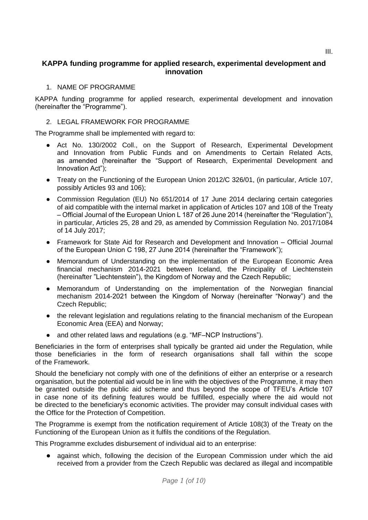# **KAPPA funding programme for applied research, experimental development and innovation**

### 1. NAME OF PROGRAMME

KAPPA funding programme for applied research, experimental development and innovation (hereinafter the "Programme").

### 2. LEGAL FRAMEWORK FOR PROGRAMME

The Programme shall be implemented with regard to:

- Act No. 130/2002 Coll., on the Support of Research, Experimental Development and Innovation from Public Funds and on Amendments to Certain Related Acts, as amended (hereinafter the "Support of Research, Experimental Development and Innovation Act");
- Treaty on the Functioning of the European Union 2012/C 326/01, (in particular, Article 107, possibly Articles 93 and 106);
- Commission Regulation (EU) No 651/2014 of 17 June 2014 declaring certain categories of aid compatible with the internal market in application of Articles 107 and 108 of the Treaty – Official Journal of the European Union L 187 of 26 June 2014 (hereinafter the "Regulation"), in particular, Articles 25, 28 and 29, as amended by Commission Regulation No. 2017/1084 of 14 July 2017;
- Framework for State Aid for Research and Development and Innovation Official Journal of the European Union C 198, 27 June 2014 (hereinafter the "Framework");
- Memorandum of Understanding on the implementation of the European Economic Area financial mechanism 2014-2021 between Iceland, the Principality of Liechtenstein (hereinafter "Liechtenstein"), the Kingdom of Norway and the Czech Republic;
- Memorandum of Understanding on the implementation of the Norwegian financial mechanism 2014-2021 between the Kingdom of Norway (hereinafter "Norway") and the Czech Republic;
- the relevant legislation and regulations relating to the financial mechanism of the European Economic Area (EEA) and Norway;
- and other related laws and regulations (e.g. "MF–NCP Instructions").

Beneficiaries in the form of enterprises shall typically be granted aid under the Regulation, while those beneficiaries in the form of research organisations shall fall within the scope of the Framework.

Should the beneficiary not comply with one of the definitions of either an enterprise or a research organisation, but the potential aid would be in line with the objectives of the Programme, it may then be granted outside the public aid scheme and thus beyond the scope of TFEU's Article 107 in case none of its defining features would be fulfilled, especially where the aid would not be directed to the beneficiary's economic activities. The provider may consult individual cases with the Office for the Protection of Competition.

The Programme is exempt from the notification requirement of Article 108(3) of the Treaty on the Functioning of the European Union as it fulfils the conditions of the Regulation.

This Programme excludes disbursement of individual aid to an enterprise:

● against which, following the decision of the European Commission under which the aid received from a provider from the Czech Republic was declared as illegal and incompatible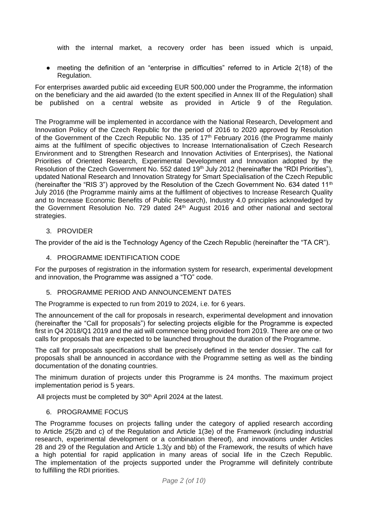with the internal market, a recovery order has been issued which is unpaid,

meeting the definition of an "enterprise in difficulties" referred to in Article  $2(18)$  of the Regulation.

For enterprises awarded public aid exceeding EUR 500,000 under the Programme, the information on the beneficiary and the aid awarded (to the extent specified in Annex III of the Regulation) shall be published on a central website as provided in Article 9 of the Regulation.

The Programme will be implemented in accordance with the National Research, Development and Innovation Policy of the Czech Republic for the period of 2016 to 2020 approved by Resolution of the Government of the Czech Republic No. 135 of 17<sup>th</sup> February 2016 (the Programme mainly aims at the fulfilment of specific objectives to Increase Internationalisation of Czech Research Environment and to Strengthen Research and Innovation Activities of Enterprises), the National Priorities of Oriented Research, Experimental Development and Innovation adopted by the Resolution of the Czech Government No. 552 dated 19<sup>th</sup> July 2012 (hereinafter the "RDI Priorities"), updated National Research and Innovation Strategy for Smart Specialisation of the Czech Republic (hereinafter the "RIS 3") approved by the Resolution of the Czech Government No. 634 dated 11<sup>th</sup> July 2016 (the Programme mainly aims at the fulfilment of objectives to Increase Research Quality and to Increase Economic Benefits of Public Research), Industry 4.0 principles acknowledged by the Government Resolution No. 729 dated 24<sup>th</sup> August 2016 and other national and sectoral strategies.

### 3. PROVIDER

The provider of the aid is the Technology Agency of the Czech Republic (hereinafter the "TA CR").

### 4. PROGRAMME IDENTIFICATION CODE

For the purposes of registration in the information system for research, experimental development and innovation, the Programme was assigned a "TO" code.

#### 5. PROGRAMME PERIOD AND ANNOUNCEMENT DATES

The Programme is expected to run from 2019 to 2024, i.e. for 6 years.

The announcement of the call for proposals in research, experimental development and innovation (hereinafter the "Call for proposals") for selecting projects eligible for the Programme is expected first in Q4 2018/Q1 2019 and the aid will commence being provided from 2019. There are one or two calls for proposals that are expected to be launched throughout the duration of the Programme.

The call for proposals specifications shall be precisely defined in the tender dossier. The call for proposals shall be announced in accordance with the Programme setting as well as the binding documentation of the donating countries.

The minimum duration of projects under this Programme is 24 months. The maximum project implementation period is 5 years.

All projects must be completed by 30<sup>th</sup> April 2024 at the latest.

#### 6. PROGRAMME FOCUS

The Programme focuses on projects falling under the category of applied research according to Article 25(2b and c) of the Regulation and Article 1(3e) of the Framework (including industrial research, experimental development or a combination thereof), and innovations under Articles 28 and 29 of the Regulation and Article 1.3(y and bb) of the Framework, the results of which have a high potential for rapid application in many areas of social life in the Czech Republic. The implementation of the projects supported under the Programme will definitely contribute to fulfilling the RDI priorities.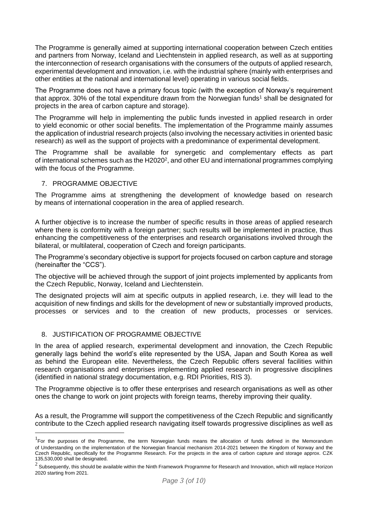The Programme is generally aimed at supporting international cooperation between Czech entities and partners from Norway, Iceland and Liechtenstein in applied research, as well as at supporting the interconnection of research organisations with the consumers of the outputs of applied research, experimental development and innovation, i.e. with the industrial sphere (mainly with enterprises and other entities at the national and international level) operating in various social fields.

The Programme does not have a primary focus topic (with the exception of Norway's requirement that approx. 30% of the total expenditure drawn from the Norwegian funds<sup>1</sup> shall be designated for projects in the area of carbon capture and storage).

The Programme will help in implementing the public funds invested in applied research in order to yield economic or other social benefits. The implementation of the Programme mainly assumes the application of industrial research projects (also involving the necessary activities in oriented basic research) as well as the support of projects with a predominance of experimental development.

The Programme shall be available for synergetic and complementary effects as part of international schemes such as the H2020<sup>2</sup>, and other EU and international programmes complying with the focus of the Programme.

#### 7. PROGRAMME OBJECTIVE

 $\overline{a}$ 

The Programme aims at strengthening the development of knowledge based on research by means of international cooperation in the area of applied research.

A further objective is to increase the number of specific results in those areas of applied research where there is conformity with a foreign partner; such results will be implemented in practice, thus enhancing the competitiveness of the enterprises and research organisations involved through the bilateral, or multilateral, cooperation of Czech and foreign participants.

The Programme's secondary objective is support for projects focused on carbon capture and storage (hereinafter the "CCS").

The objective will be achieved through the support of joint projects implemented by applicants from the Czech Republic, Norway, Iceland and Liechtenstein.

The designated projects will aim at specific outputs in applied research, i.e. they will lead to the acquisition of new findings and skills for the development of new or substantially improved products, processes or services and to the creation of new products, processes or services.

#### 8. JUSTIFICATION OF PROGRAMME OBJECTIVE

In the area of applied research, experimental development and innovation, the Czech Republic generally lags behind the world's elite represented by the USA, Japan and South Korea as well as behind the European elite. Nevertheless, the Czech Republic offers several facilities within research organisations and enterprises implementing applied research in progressive disciplines (identified in national strategy documentation, e.g. RDI Priorities, RIS 3).

The Programme objective is to offer these enterprises and research organisations as well as other ones the change to work on joint projects with foreign teams, thereby improving their quality.

As a result, the Programme will support the competitiveness of the Czech Republic and significantly contribute to the Czech applied research navigating itself towards progressive disciplines as well as

<sup>&</sup>lt;sup>1</sup> For the purposes of the Programme, the term Norwegian funds means the allocation of funds defined in the Memorandum of Understanding on the implementation of the Norwegian financial mechanism 2014-2021 between the Kingdom of Norway and the Czech Republic, specifically for the Programme Research. For the projects in the area of carbon capture and storage approx. CZK 135,530,000 shall be designated.

 $^2$  Subsequently, this should be available within the Ninth Framework Programme for Research and Innovation, which will replace Horizon 2020 starting from 2021.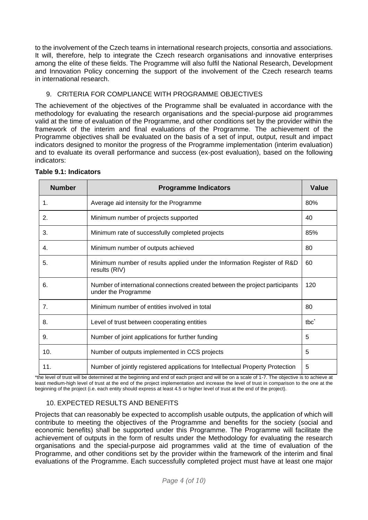to the involvement of the Czech teams in international research projects, consortia and associations. It will, therefore, help to integrate the Czech research organisations and innovative enterprises among the elite of these fields. The Programme will also fulfil the National Research, Development and Innovation Policy concerning the support of the involvement of the Czech research teams in international research.

# 9. CRITERIA FOR COMPLIANCE WITH PROGRAMME OBJECTIVES

The achievement of the objectives of the Programme shall be evaluated in accordance with the methodology for evaluating the research organisations and the special-purpose aid programmes valid at the time of evaluation of the Programme, and other conditions set by the provider within the framework of the interim and final evaluations of the Programme. The achievement of the Programme objectives shall be evaluated on the basis of a set of input, output, result and impact indicators designed to monitor the progress of the Programme implementation (interim evaluation) and to evaluate its overall performance and success (ex-post evaluation), based on the following indicators:

| <b>Number</b> | <b>Programme Indicators</b>                                                                         |                  |  |  |  |  |
|---------------|-----------------------------------------------------------------------------------------------------|------------------|--|--|--|--|
| 1.            | Average aid intensity for the Programme                                                             | 80%              |  |  |  |  |
| 2.            | Minimum number of projects supported                                                                | 40               |  |  |  |  |
| 3.            | Minimum rate of successfully completed projects                                                     | 85%              |  |  |  |  |
| 4.            | Minimum number of outputs achieved                                                                  | 80               |  |  |  |  |
| 5.            | Minimum number of results applied under the Information Register of R&D<br>results (RIV)            | 60               |  |  |  |  |
| 6.            | Number of international connections created between the project participants<br>under the Programme | 120              |  |  |  |  |
| 7.            | Minimum number of entities involved in total                                                        | 80               |  |  |  |  |
| 8.            | Level of trust between cooperating entities                                                         | tbc <sup>*</sup> |  |  |  |  |
| 9.            | Number of joint applications for further funding                                                    | 5                |  |  |  |  |
| 10.           | Number of outputs implemented in CCS projects                                                       | 5                |  |  |  |  |
| 11.           | Number of jointly registered applications for Intellectual Property Protection                      | 5                |  |  |  |  |

#### **Table 9.1: Indicators**

\*the level of trust will be determined at the beginning and end of each project and will be on a scale of 1-7. The objective is to achieve at least medium-high level of trust at the end of the project implementation and increase the level of trust in comparison to the one at the beginning of the project (i.e. each entity should express at least 4.5 or higher level of trust at the end of the project).

# 10. EXPECTED RESULTS AND BENEFITS

Projects that can reasonably be expected to accomplish usable outputs, the application of which will contribute to meeting the objectives of the Programme and benefits for the society (social and economic benefits) shall be supported under this Programme. The Programme will facilitate the achievement of outputs in the form of results under the Methodology for evaluating the research organisations and the special-purpose aid programmes valid at the time of evaluation of the Programme, and other conditions set by the provider within the framework of the interim and final evaluations of the Programme. Each successfully completed project must have at least one major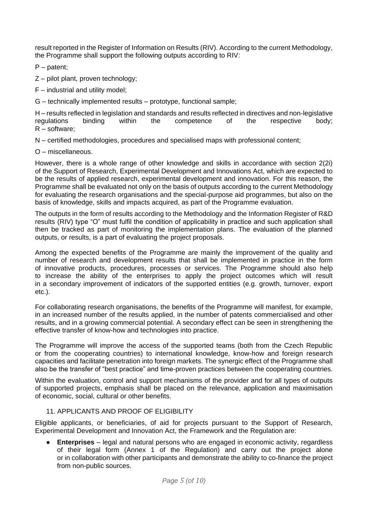result reported in the Register of Information on Results (RIV). According to the current Methodology, the Programme shall support the following outputs according to RIV:

P – patent;

Z – pilot plant, proven technology;

- F industrial and utility model;
- G technically implemented results prototype, functional sample;

H – results reflected in legislation and standards and results reflected in directives and non-legislative regulations binding within the competence of the respective body; R – software;

N – certified methodologies, procedures and specialised maps with professional content;

O – miscellaneous.

However, there is a whole range of other knowledge and skills in accordance with section 2(2i) of the Support of Research, Experimental Development and Innovations Act, which are expected to be the results of applied research, experimental development and innovation. For this reason, the Programme shall be evaluated not only on the basis of outputs according to the current Methodology for evaluating the research organisations and the special-purpose aid programmes, but also on the basis of knowledge, skills and impacts acquired, as part of the Programme evaluation.

The outputs in the form of results according to the Methodology and the Information Register of R&D results (RIV) type "O" must fulfil the condition of applicability in practice and such application shall then be tracked as part of monitoring the implementation plans. The evaluation of the planned outputs, or results, is a part of evaluating the project proposals.

Among the expected benefits of the Programme are mainly the improvement of the quality and number of research and development results that shall be implemented in practice in the form of innovative products, procedures, processes or services. The Programme should also help to increase the ability of the enterprises to apply the project outcomes which will result in a secondary improvement of indicators of the supported entities (e.g. growth, turnover, export etc.).

For collaborating research organisations, the benefits of the Programme will manifest, for example, in an increased number of the results applied, in the number of patents commercialised and other results, and in a growing commercial potential. A secondary effect can be seen in strengthening the effective transfer of know-how and technologies into practice.

The Programme will improve the access of the supported teams (both from the Czech Republic or from the cooperating countries) to international knowledge, know-how and foreign research capacities and facilitate penetration into foreign markets. The synergic effect of the Programme shall also be the transfer of "best practice" and time-proven practices between the cooperating countries.

Within the evaluation, control and support mechanisms of the provider and for all types of outputs of supported projects, emphasis shall be placed on the relevance, application and maximisation of economic, social, cultural or other benefits.

# 11. APPLICANTS AND PROOF OF FLIGIBILITY

Eligible applicants, or beneficiaries, of aid for projects pursuant to the Support of Research, Experimental Development and Innovation Act, the Framework and the Regulation are:

**Enterprises** – legal and natural persons who are engaged in economic activity, regardless of their legal form (Annex 1 of the Regulation) and carry out the project alone or in collaboration with other participants and demonstrate the ability to co-finance the project from non-public sources.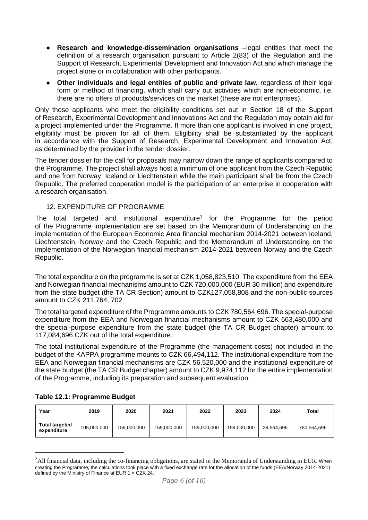- **Research and knowledge-dissemination organisations** –legal entities that meet the definition of a research organisation pursuant to Article 2(83) of the Regulation and the Support of Research, Experimental Development and Innovation Act and which manage the project alone or in collaboration with other participants.
- **Other individuals and legal entities of public and private law, regardless of their legal** form or method of financing, which shall carry out activities which are non-economic, i.e. there are no offers of products/services on the market (these are not enterprises).

Only those applicants who meet the eligibility conditions set out in Section 18 of the Support of Research, Experimental Development and Innovations Act and the Regulation may obtain aid for a project implemented under the Programme. If more than one applicant is involved in one project, eligibility must be proven for all of them. Eligibility shall be substantiated by the applicant in accordance with the Support of Research, Experimental Development and Innovation Act, as determined by the provider in the tender dossier.

The tender dossier for the call for proposals may narrow down the range of applicants compared to the Programme. The project shall always host a minimum of one applicant from the Czech Republic and one from Norway, Iceland or Liechtenstein while the main participant shall be from the Czech Republic. The preferred cooperation model is the participation of an enterprise in cooperation with a research organisation.

# 12. EXPENDITURE OF PROGRAMME

The total targeted and institutional expenditure<sup>3</sup> for the Programme for the period of the Programme implementation are set based on the Memorandum of Understanding on the implementation of the European Economic Area financial mechanism 2014-2021 between Iceland, Liechtenstein, Norway and the Czech Republic and the Memorandum of Understanding on the implementation of the Norwegian financial mechanism 2014-2021 between Norway and the Czech Republic.

The total expenditure on the programme is set at CZK 1,058,823,510. The expenditure from the EEA and Norwegian financial mechanisms amount to CZK 720,000,000 (EUR 30 million) and expenditure from the state budget (the TA CR Section) amount to CZK127,058,808 and the non-public sources amount to CZK 211,764, 702.

The total targeted expenditure of the Programme amounts to CZK 780,564,696. The special-purpose expenditure from the EEA and Norwegian financial mechanisms amount to CZK 663,480,000 and the special-purpose expenditure from the state budget (the TA CR Budget chapter) amount to 117,084,696 CZK out of the total expenditure.

The total institutional expenditure of the Programme (the management costs) not included in the budget of the KAPPA programme mounts to CZK 66,494,112. The institutional expenditure from the EEA and Norwegian financial mechanisms are CZK 56,520,000 and the institutional expenditure of the state budget (the TA CR Budget chapter) amount to CZK 9,974,112 for the entire implementation of the Programme, including its preparation and subsequent evaluation.

| Year                                 | 2019        | 2020        | 2021        | 2022        | 2023        | 2024       | Total       |
|--------------------------------------|-------------|-------------|-------------|-------------|-------------|------------|-------------|
| <b>Total targeted</b><br>expenditure | 105.000.000 | 159,000,000 | 159,000,000 | 159,000,000 | 159.000.000 | 39.564.696 | 780,564,696 |

# **Table 12.1: Programme Budget**

 $\overline{a}$ 

<sup>&</sup>lt;sup>3</sup>All financial data, including the co-financing obligations, are stated in the Memoranda of Understanding in EUR. When creating the Programme, the calculations took place with a fixed exchange rate for the allocation of the funds (EEA/Norway 2014-2021) defined by the Ministry of Finance at EUR 1 = CZK 24.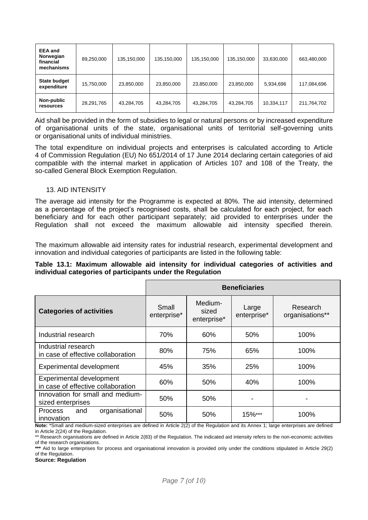| <b>EEA</b> and<br>Norwegian<br>financial<br>mechanisms | 89,250,000 | 135,150,000 | 135,150,000 | 135,150,000 | 135,150,000 | 33,630,000 | 663,480,000 |
|--------------------------------------------------------|------------|-------------|-------------|-------------|-------------|------------|-------------|
| State budget<br>expenditure                            | 15,750,000 | 23,850,000  | 23,850,000  | 23,850,000  | 23,850,000  | 5,934,696  | 117,084,696 |
| Non-public<br>resources                                | 28,291,765 | 43,284,705  | 43,284,705  | 43,284,705  | 43,284,705  | 10,334,117 | 211,764,702 |

Aid shall be provided in the form of subsidies to legal or natural persons or by increased expenditure of organisational units of the state, organisational units of territorial self-governing units or organisational units of individual ministries.

The total expenditure on individual projects and enterprises is calculated according to Article 4 of Commission Regulation (EU) No 651/2014 of 17 June 2014 declaring certain categories of aid compatible with the internal market in application of Articles 107 and 108 of the Treaty, the so-called General Block Exemption Regulation.

#### 13. AID INTENSITY

The average aid intensity for the Programme is expected at 80%. The aid intensity, determined as a percentage of the project's recognised costs, shall be calculated for each project, for each beneficiary and for each other participant separately; aid provided to enterprises under the Regulation shall not exceed the maximum allowable aid intensity specified therein.

The maximum allowable aid intensity rates for industrial research, experimental development and innovation and individual categories of participants are listed in the following table:

#### **Table 13.1: Maximum allowable aid intensity for individual categories of activities and individual categories of participants under the Regulation**

|                                                                       |                      | <b>Beneficiaries</b>            |                      |                                         |
|-----------------------------------------------------------------------|----------------------|---------------------------------|----------------------|-----------------------------------------|
| <b>Categories of activities</b>                                       | Small<br>enterprise* | Medium-<br>sized<br>enterprise* | Large<br>enterprise* | Research<br>organisations**             |
| Industrial research                                                   | 70%                  | 60%                             | 50%                  | 100%                                    |
| Industrial research<br>in case of effective collaboration             | 80%                  | 75%                             | 65%                  | 100%                                    |
| <b>Experimental development</b>                                       | 45%                  | 35%                             | 25%                  | 100%                                    |
| <b>Experimental development</b><br>in case of effective collaboration | 60%                  | 50%                             | 40%                  | 100%                                    |
| Innovation for small and medium-<br>sized enterprises                 | 50%                  | 50%                             |                      | -                                       |
| organisational<br><b>Process</b><br>and<br>innovation                 | 50%                  | 50%                             | 15%***               | 100%<br>$\cdot$ $\cdot$ $\cdot$ $\cdot$ |

**Note:** \*Small and medium-sized enterprises are defined in Article 2(2) of the Regulation and its Annex 1; large enterprises are defined in Article 2(24) of the Regulation.

**\*\*\*** Aid to large enterprises for process and organisational innovation is provided only under the conditions stipulated in Article 29(2) of the Regulation.

**Source: Regulation**

<sup>\*\*</sup> Research organisations are defined in Article 2(83) of the Regulation. The indicated aid intensity refers to the non-economic activities of the research organisations.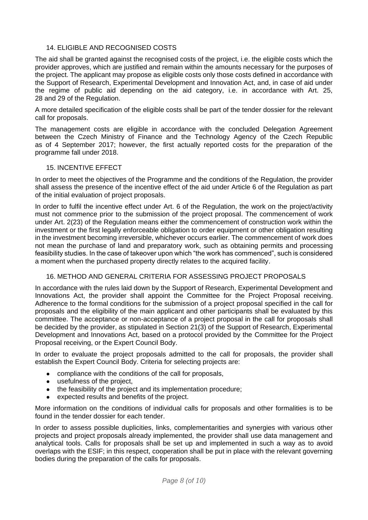### 14. ELIGIBLE AND RECOGNISED COSTS

The aid shall be granted against the recognised costs of the project, i.e. the eligible costs which the provider approves, which are justified and remain within the amounts necessary for the purposes of the project. The applicant may propose as eligible costs only those costs defined in accordance with the Support of Research, Experimental Development and Innovation Act, and, in case of aid under the regime of public aid depending on the aid category, i.e. in accordance with Art. 25, 28 and 29 of the Regulation.

A more detailed specification of the eligible costs shall be part of the tender dossier for the relevant call for proposals.

The management costs are eligible in accordance with the concluded Delegation Agreement between the Czech Ministry of Finance and the Technology Agency of the Czech Republic as of 4 September 2017; however, the first actually reported costs for the preparation of the programme fall under 2018.

#### 15. INCENTIVE EFFECT

In order to meet the objectives of the Programme and the conditions of the Regulation, the provider shall assess the presence of the incentive effect of the aid under Article 6 of the Regulation as part of the initial evaluation of project proposals.

In order to fulfil the incentive effect under Art. 6 of the Regulation, the work on the project/activity must not commence prior to the submission of the project proposal. The commencement of work under Art. 2(23) of the Regulation means either the commencement of construction work within the investment or the first legally enforceable obligation to order equipment or other obligation resulting in the investment becoming irreversible, whichever occurs earlier. The commencement of work does not mean the purchase of land and preparatory work, such as obtaining permits and processing feasibility studies. In the case of takeover upon which "the work has commenced", such is considered a moment when the purchased property directly relates to the acquired facility.

### 16. METHOD AND GENERAL CRITERIA FOR ASSESSING PROJECT PROPOSALS

In accordance with the rules laid down by the Support of Research, Experimental Development and Innovations Act, the provider shall appoint the Committee for the Project Proposal receiving. Adherence to the formal conditions for the submission of a project proposal specified in the call for proposals and the eligibility of the main applicant and other participants shall be evaluated by this committee. The acceptance or non-acceptance of a project proposal in the call for proposals shall be decided by the provider, as stipulated in Section 21(3) of the Support of Research, Experimental Development and Innovations Act, based on a protocol provided by the Committee for the Project Proposal receiving, or the Expert Council Body.

In order to evaluate the project proposals admitted to the call for proposals, the provider shall establish the Expert Council Body. Criteria for selecting projects are:

- compliance with the conditions of the call for proposals,
- usefulness of the project,
- the feasibility of the project and its implementation procedure:
- expected results and benefits of the project.

More information on the conditions of individual calls for proposals and other formalities is to be found in the tender dossier for each tender.

In order to assess possible duplicities, links, complementarities and synergies with various other projects and project proposals already implemented, the provider shall use data management and analytical tools. Calls for proposals shall be set up and implemented in such a way as to avoid overlaps with the ESIF; in this respect, cooperation shall be put in place with the relevant governing bodies during the preparation of the calls for proposals.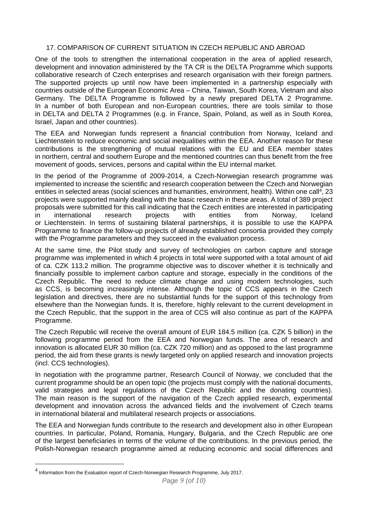### 17. COMPARISON OF CURRENT SITUATION IN CZECH REPUBLIC AND ABROAD

One of the tools to strengthen the international cooperation in the area of applied research, development and innovation administered by the TA CR is the DELTA Programme which supports collaborative research of Czech enterprises and research organisation with their foreign partners. The supported projects up until now have been implemented in a partnership especially with countries outside of the European Economic Area – China, Taiwan, South Korea, Vietnam and also Germany. The DELTA Programme is followed by a newly prepared DELTA 2 Programme. In a number of both European and non-European countries, there are tools similar to those in DELTA and DELTA 2 Programmes (e.g. in France, Spain, Poland, as well as in South Korea, Israel, Japan and other countries).

The EEA and Norwegian funds represent a financial contribution from [Norway,](https://cs.wikipedia.org/wiki/Norsko) [Iceland](https://cs.wikipedia.org/wiki/Island) and [Liechtenstein](https://cs.wikipedia.org/wiki/Lichten%C5%A1tejnsko) to reduce economic and social inequalities within the EEA. Another reason for these contributions is the strengthening of mutual relations with the [EU](https://cs.wikipedia.org/wiki/Evropsk%C3%A1_unie) and EEA member states in northern, central and southern Europe and the mentioned countries can thus benefit from the free movement of goods, services, persons and capital within the EU internal market.

In the period of the Programme of 2009-2014, a Czech-Norwegian research programme was implemented to increase the scientific and research cooperation between the Czech and Norwegian entities in selected areas (social sciences and humanities, environment, health). Within one call<sup>4</sup>, 23 projects were supported mainly dealing with the basic research in these areas. A total of 389 project proposals were submitted for this call indicating that the Czech entities are interested in participating in international research projects with entities from Norway, Iceland or Liechtenstein. In terms of sustaining bilateral partnerships, it is possible to use the KAPPA Programme to finance the follow-up projects of already established consortia provided they comply with the Programme parameters and they succeed in the evaluation process.

At the same time, the Pilot study and survey of technologies on carbon capture and storage programme was implemented in which 4 projects in total were supported with a total amount of aid of ca. CZK 113.2 million. The programme objective was to discover whether it is technically and financially possible to implement carbon capture and storage, especially in the conditions of the Czech Republic. The need to reduce climate change and using modern technologies, such as CCS, is becoming increasingly intense. Although the topic of CCS appears in the Czech legislation and directives, there are no substantial funds for the support of this technology from elsewhere than the Norwegian funds. It is, therefore, highly relevant to the current development in the Czech Republic, that the support in the area of CCS will also continue as part of the KAPPA Programme.

The Czech Republic will receive the overall amount of EUR 184.5 million (ca. CZK 5 billion) in the following programme period from the EEA and Norwegian funds. The area of research and innovation is allocated EUR 30 million (ca. CZK 720 million) and as opposed to the last programme period, the aid from these grants is newly targeted only on applied research and innovation projects (incl. CCS technologies).

In negotiation with the programme partner, Research Council of Norway, we concluded that the current programme should be an open topic (the projects must comply with the national documents, valid strategies and legal regulations of the Czech Republic and the donating countries). The main reason is the support of the navigation of the Czech applied research, experimental development and innovation across the advanced fields and the involvement of Czech teams in international bilateral and multilateral research projects or associations.

The EEA and Norwegian funds contribute to the research and development also in other European countries. In particular, Poland, Romania, Hungary, Bulgaria, and the Czech Republic are one of the largest beneficiaries in terms of the volume of the contributions. In the previous period, the Polish-Norwegian research programme aimed at reducing economic and social differences and

 $\overline{a}$ 

 $^4$  Information from the Evaluation report of Czech-Norwegian Research Programme, July 2017.